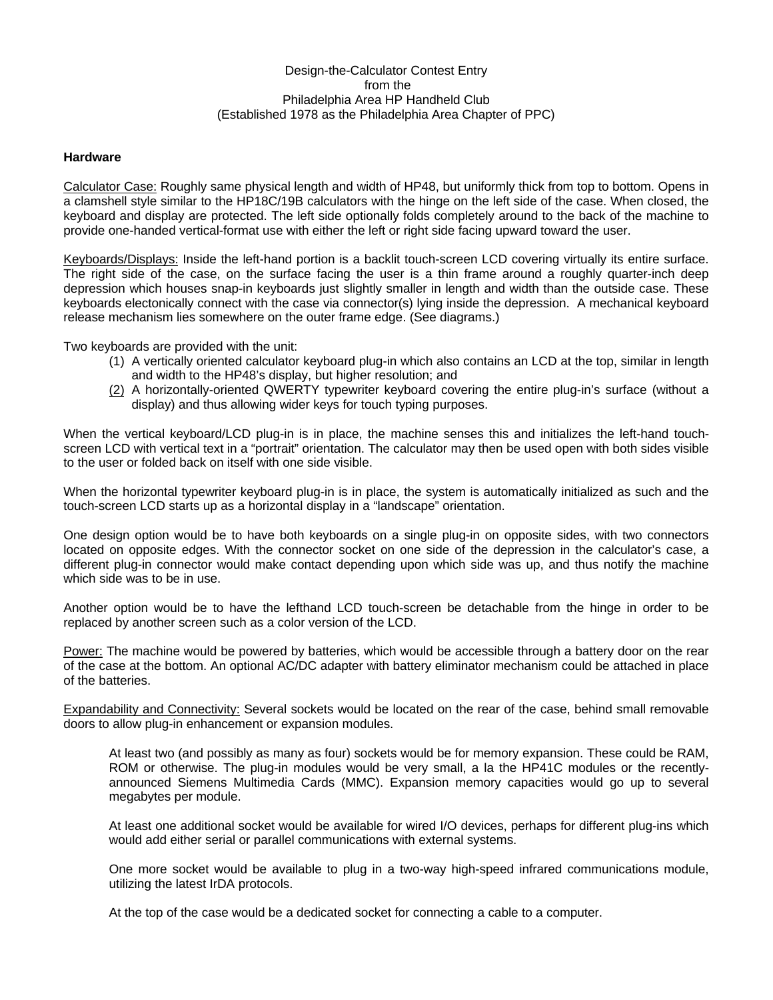## Design-the-Calculator Contest Entry from the Philadelphia Area HP Handheld Club (Established 1978 as the Philadelphia Area Chapter of PPC)

## **Hardware**

Calculator Case: Roughly same physical length and width of HP48, but uniformly thick from top to bottom. Opens in a clamshell style similar to the HP18C/19B calculators with the hinge on the left side of the case. When closed, the keyboard and display are protected. The left side optionally folds completely around to the back of the machine to provide one-handed vertical-format use with either the left or right side facing upward toward the user.

Keyboards/Displays: Inside the left-hand portion is a backlit touch-screen LCD covering virtually its entire surface. The right side of the case, on the surface facing the user is a thin frame around a roughly quarter-inch deep depression which houses snap-in keyboards just slightly smaller in length and width than the outside case. These keyboards electonically connect with the case via connector(s) lying inside the depression. A mechanical keyboard release mechanism lies somewhere on the outer frame edge. (See diagrams.)

Two keyboards are provided with the unit:

- (1) A vertically oriented calculator keyboard plug-in which also contains an LCD at the top, similar in length and width to the HP48's display, but higher resolution; and
- (2) A horizontally-oriented QWERTY typewriter keyboard covering the entire plug-in's surface (without a display) and thus allowing wider keys for touch typing purposes.

When the vertical keyboard/LCD plug-in is in place, the machine senses this and initializes the left-hand touchscreen LCD with vertical text in a "portrait" orientation. The calculator may then be used open with both sides visible to the user or folded back on itself with one side visible.

When the horizontal typewriter keyboard plug-in is in place, the system is automatically initialized as such and the touch-screen LCD starts up as a horizontal display in a "landscape" orientation.

One design option would be to have both keyboards on a single plug-in on opposite sides, with two connectors located on opposite edges. With the connector socket on one side of the depression in the calculator's case, a different plug-in connector would make contact depending upon which side was up, and thus notify the machine which side was to be in use.

Another option would be to have the lefthand LCD touch-screen be detachable from the hinge in order to be replaced by another screen such as a color version of the LCD.

Power: The machine would be powered by batteries, which would be accessible through a battery door on the rear of the case at the bottom. An optional AC/DC adapter with battery eliminator mechanism could be attached in place of the batteries.

Expandability and Connectivity: Several sockets would be located on the rear of the case, behind small removable doors to allow plug-in enhancement or expansion modules.

At least two (and possibly as many as four) sockets would be for memory expansion. These could be RAM, ROM or otherwise. The plug-in modules would be very small, a la the HP41C modules or the recentlyannounced Siemens Multimedia Cards (MMC). Expansion memory capacities would go up to several megabytes per module.

At least one additional socket would be available for wired I/O devices, perhaps for different plug-ins which would add either serial or parallel communications with external systems.

One more socket would be available to plug in a two-way high-speed infrared communications module, utilizing the latest IrDA protocols.

At the top of the case would be a dedicated socket for connecting a cable to a computer.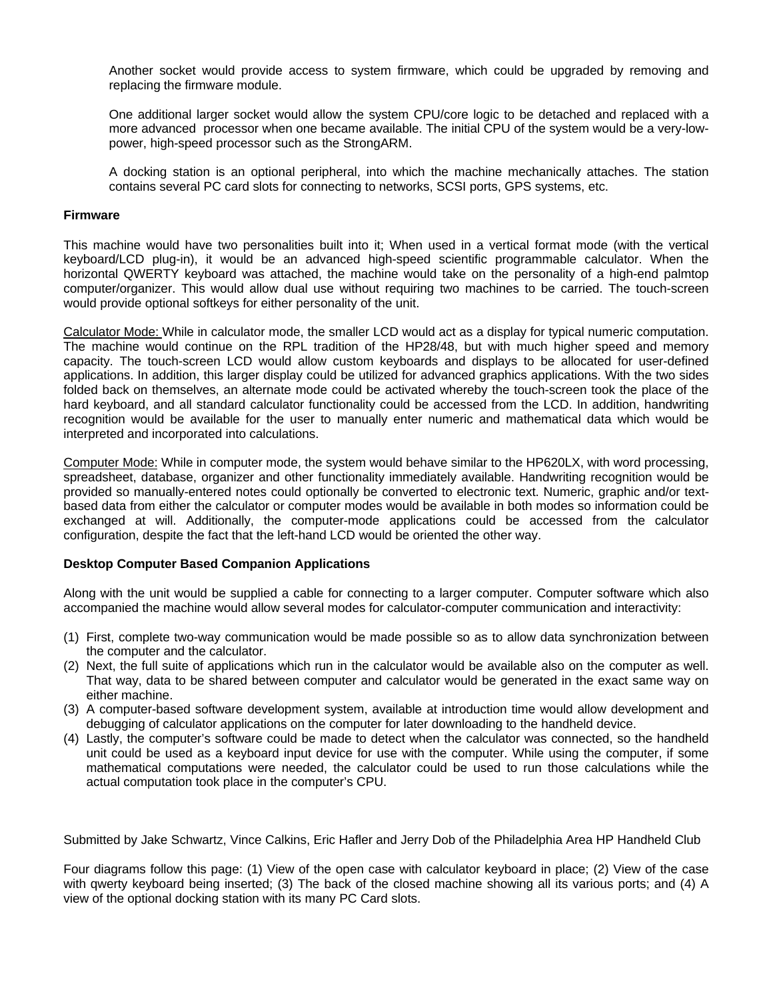Another socket would provide access to system firmware, which could be upgraded by removing and replacing the firmware module.

One additional larger socket would allow the system CPU/core logic to be detached and replaced with a more advanced processor when one became available. The initial CPU of the system would be a very-lowpower, high-speed processor such as the StrongARM.

A docking station is an optional peripheral, into which the machine mechanically attaches. The station contains several PC card slots for connecting to networks, SCSI ports, GPS systems, etc.

## **Firmware**

This machine would have two personalities built into it; When used in a vertical format mode (with the vertical keyboard/LCD plug-in), it would be an advanced high-speed scientific programmable calculator. When the horizontal QWERTY keyboard was attached, the machine would take on the personality of a high-end palmtop computer/organizer. This would allow dual use without requiring two machines to be carried. The touch-screen would provide optional softkeys for either personality of the unit.

Calculator Mode: While in calculator mode, the smaller LCD would act as a display for typical numeric computation. The machine would continue on the RPL tradition of the HP28/48, but with much higher speed and memory capacity. The touch-screen LCD would allow custom keyboards and displays to be allocated for user-defined applications. In addition, this larger display could be utilized for advanced graphics applications. With the two sides folded back on themselves, an alternate mode could be activated whereby the touch-screen took the place of the hard keyboard, and all standard calculator functionality could be accessed from the LCD. In addition, handwriting recognition would be available for the user to manually enter numeric and mathematical data which would be interpreted and incorporated into calculations.

Computer Mode: While in computer mode, the system would behave similar to the HP620LX, with word processing, spreadsheet, database, organizer and other functionality immediately available. Handwriting recognition would be provided so manually-entered notes could optionally be converted to electronic text. Numeric, graphic and/or textbased data from either the calculator or computer modes would be available in both modes so information could be exchanged at will. Additionally, the computer-mode applications could be accessed from the calculator configuration, despite the fact that the left-hand LCD would be oriented the other way.

## **Desktop Computer Based Companion Applications**

Along with the unit would be supplied a cable for connecting to a larger computer. Computer software which also accompanied the machine would allow several modes for calculator-computer communication and interactivity:

- (1) First, complete two-way communication would be made possible so as to allow data synchronization between the computer and the calculator.
- (2) Next, the full suite of applications which run in the calculator would be available also on the computer as well. That way, data to be shared between computer and calculator would be generated in the exact same way on either machine.
- (3) A computer-based software development system, available at introduction time would allow development and debugging of calculator applications on the computer for later downloading to the handheld device.
- (4) Lastly, the computer's software could be made to detect when the calculator was connected, so the handheld unit could be used as a keyboard input device for use with the computer. While using the computer, if some mathematical computations were needed, the calculator could be used to run those calculations while the actual computation took place in the computer's CPU.

Submitted by Jake Schwartz, Vince Calkins, Eric Hafler and Jerry Dob of the Philadelphia Area HP Handheld Club

Four diagrams follow this page: (1) View of the open case with calculator keyboard in place; (2) View of the case with awerty keyboard being inserted; (3) The back of the closed machine showing all its various ports; and (4) A view of the optional docking station with its many PC Card slots.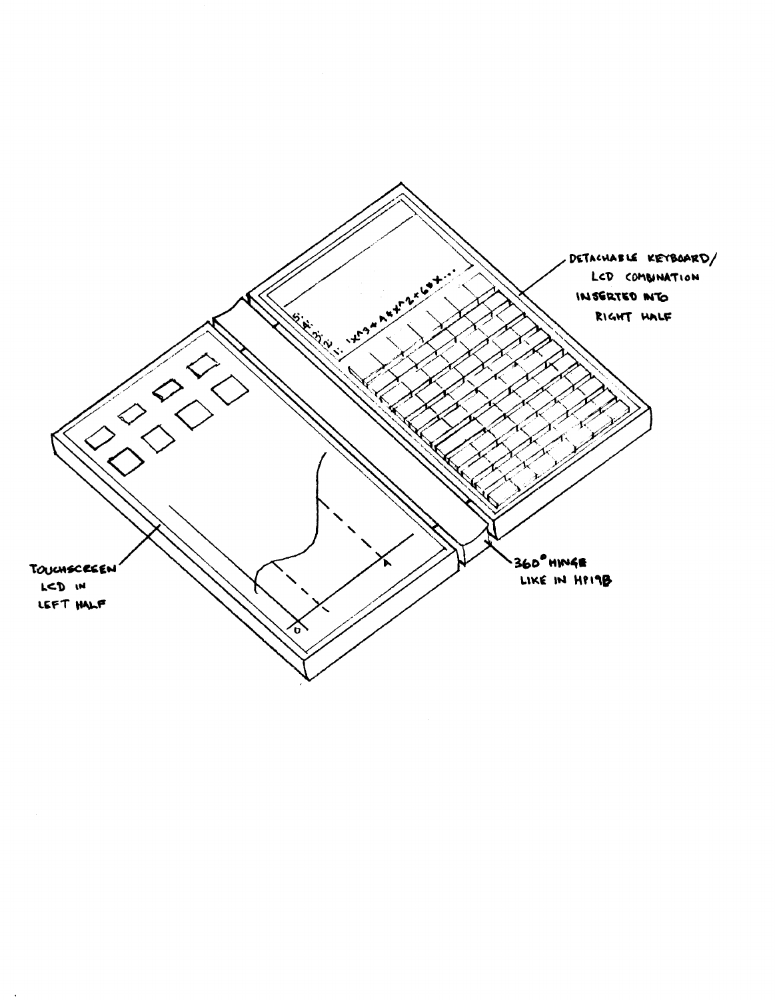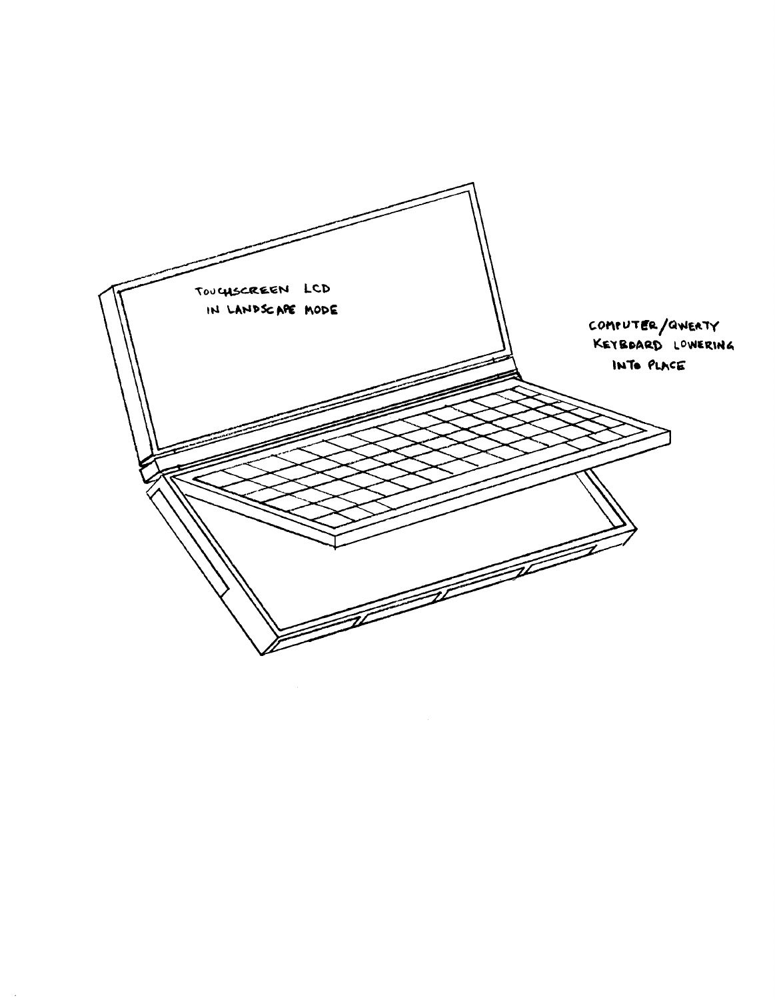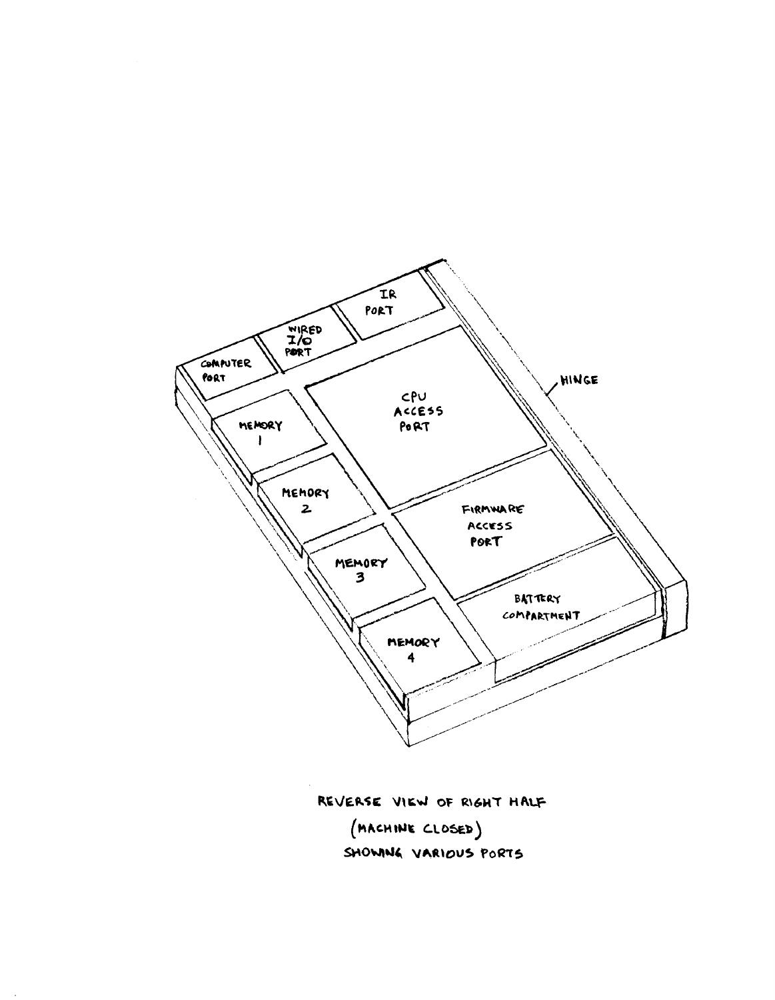

REVERSE VIEW OF RIGHT HALF (MACHINE CLOSED) SHOWNIG VARIOUS PORTS